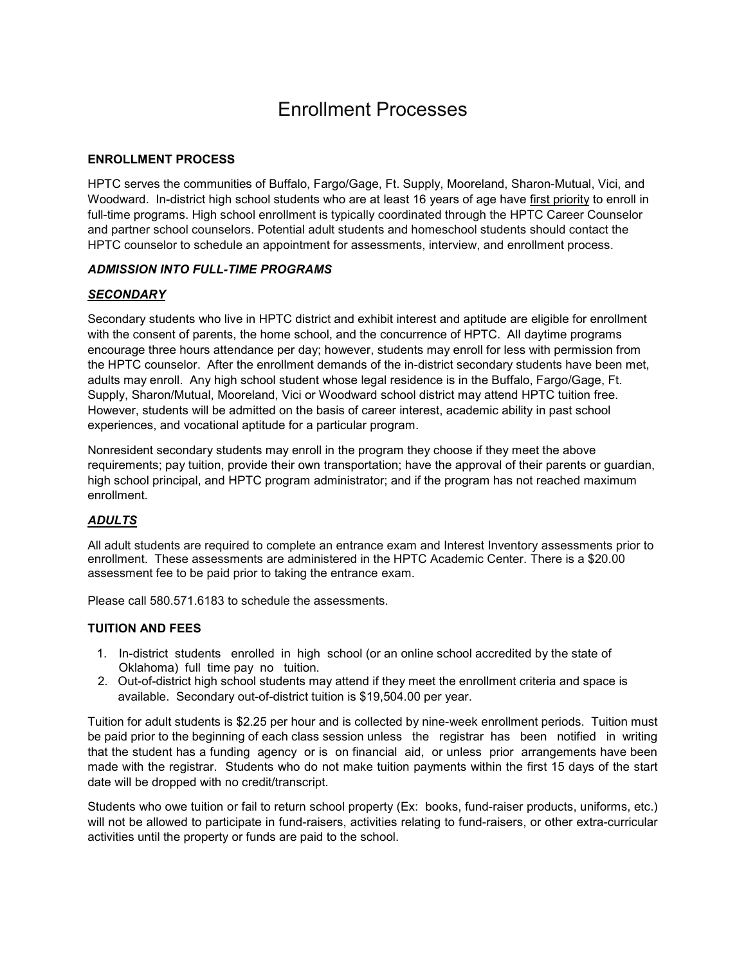# Enrollment Processes

### **ENROLLMENT PROCESS**

HPTC serves the communities of Buffalo, Fargo/Gage, Ft. Supply, Mooreland, Sharon-Mutual, Vici, and Woodward. In-district high school students who are at least 16 years of age have first priority to enroll in full-time programs. High school enrollment is typically coordinated through the HPTC Career Counselor and partner school counselors. Potential adult students and homeschool students should contact the HPTC counselor to schedule an appointment for assessments, interview, and enrollment process.

### *ADMISSION INTO FULL-TIME PROGRAMS*

### *SECONDARY*

Secondary students who live in HPTC district and exhibit interest and aptitude are eligible for enrollment with the consent of parents, the home school, and the concurrence of HPTC. All daytime programs encourage three hours attendance per day; however, students may enroll for less with permission from the HPTC counselor. After the enrollment demands of the in-district secondary students have been met, adults may enroll. Any high school student whose legal residence is in the Buffalo, Fargo/Gage, Ft. Supply, Sharon/Mutual, Mooreland, Vici or Woodward school district may attend HPTC tuition free. However, students will be admitted on the basis of career interest, academic ability in past school experiences, and vocational aptitude for a particular program.

Nonresident secondary students may enroll in the program they choose if they meet the above requirements; pay tuition, provide their own transportation; have the approval of their parents or guardian, high school principal, and HPTC program administrator; and if the program has not reached maximum enrollment.

## *ADULTS*

All adult students are required to complete an entrance exam and Interest Inventory assessments prior to enrollment. These assessments are administered in the HPTC Academic Center. There is a \$20.00 assessment fee to be paid prior to taking the entrance exam.

Please call 580.571.6183 to schedule the assessments.

#### **TUITION AND FEES**

- 1. In-district students enrolled in high school (or an online school accredited by the state of Oklahoma) full time pay no tuition.
- 2. Out-of-district high school students may attend if they meet the enrollment criteria and space is available. Secondary out-of-district tuition is \$19,504.00 per year.

Tuition for adult students is \$2.25 per hour and is collected by nine-week enrollment periods. Tuition must be paid prior to the beginning of each class session unless the registrar has been notified in writing that the student has a funding agency or is on financial aid, or unless prior arrangements have been made with the registrar. Students who do not make tuition payments within the first 15 days of the start date will be dropped with no credit/transcript.

Students who owe tuition or fail to return school property (Ex: books, fund-raiser products, uniforms, etc.) will not be allowed to participate in fund-raisers, activities relating to fund-raisers, or other extra-curricular activities until the property or funds are paid to the school.